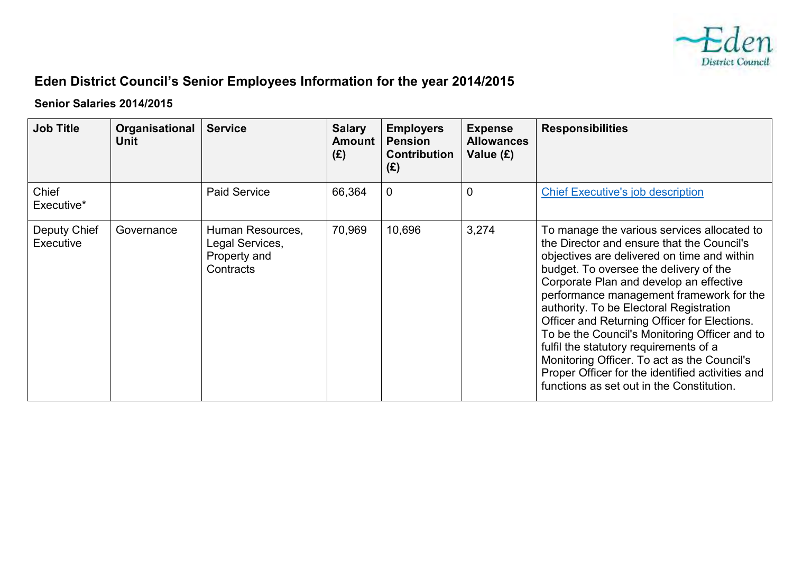

## **Eden District Council's Senior Employees Information for the year 2014/2015**

## **Senior Salaries 2014/2015**

| <b>Job Title</b>          | Organisational<br><b>Unit</b> | <b>Service</b>                                                   | <b>Salary</b><br><b>Amount</b><br>(E) | <b>Employers</b><br><b>Pension</b><br><b>Contribution</b><br>(E) | <b>Expense</b><br><b>Allowances</b><br>Value (£) | <b>Responsibilities</b>                                                                                                                                                                                                                                                                                                                                                                                                                                                                                                                                                                                         |
|---------------------------|-------------------------------|------------------------------------------------------------------|---------------------------------------|------------------------------------------------------------------|--------------------------------------------------|-----------------------------------------------------------------------------------------------------------------------------------------------------------------------------------------------------------------------------------------------------------------------------------------------------------------------------------------------------------------------------------------------------------------------------------------------------------------------------------------------------------------------------------------------------------------------------------------------------------------|
| Chief<br>Executive*       |                               | <b>Paid Service</b>                                              | 66,364                                | $\mathbf 0$                                                      | 0                                                | <b>Chief Executive's job description</b>                                                                                                                                                                                                                                                                                                                                                                                                                                                                                                                                                                        |
| Deputy Chief<br>Executive | Governance                    | Human Resources,<br>Legal Services,<br>Property and<br>Contracts | 70,969                                | 10,696                                                           | 3,274                                            | To manage the various services allocated to<br>the Director and ensure that the Council's<br>objectives are delivered on time and within<br>budget. To oversee the delivery of the<br>Corporate Plan and develop an effective<br>performance management framework for the<br>authority. To be Electoral Registration<br>Officer and Returning Officer for Elections.<br>To be the Council's Monitoring Officer and to<br>fulfil the statutory requirements of a<br>Monitoring Officer. To act as the Council's<br>Proper Officer for the identified activities and<br>functions as set out in the Constitution. |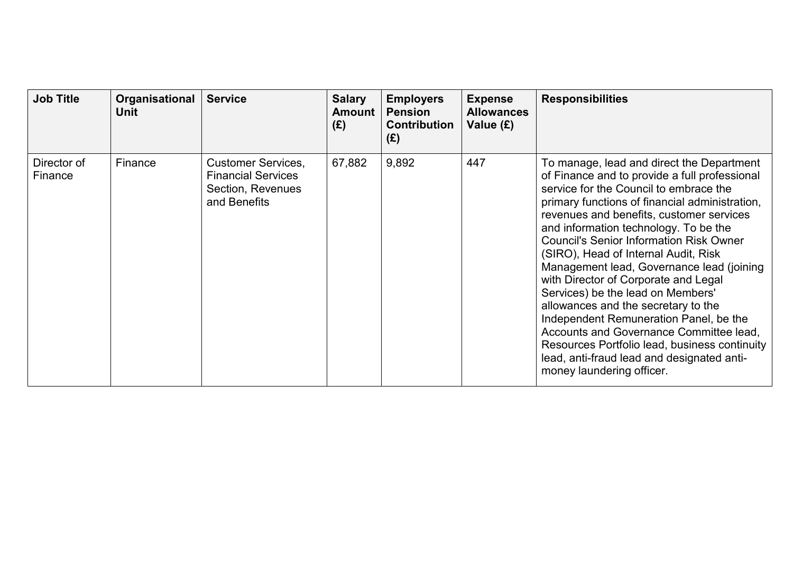| <b>Job Title</b>       | Organisational<br><b>Unit</b> | <b>Service</b>                                                                              | <b>Salary</b><br><b>Amount</b><br>(E) | <b>Employers</b><br><b>Pension</b><br><b>Contribution</b><br>(E) | <b>Expense</b><br><b>Allowances</b><br>Value (£) | <b>Responsibilities</b>                                                                                                                                                                                                                                                                                                                                                                                                                                                                                                                                                                                                                                                                                                                                  |
|------------------------|-------------------------------|---------------------------------------------------------------------------------------------|---------------------------------------|------------------------------------------------------------------|--------------------------------------------------|----------------------------------------------------------------------------------------------------------------------------------------------------------------------------------------------------------------------------------------------------------------------------------------------------------------------------------------------------------------------------------------------------------------------------------------------------------------------------------------------------------------------------------------------------------------------------------------------------------------------------------------------------------------------------------------------------------------------------------------------------------|
| Director of<br>Finance | Finance                       | <b>Customer Services,</b><br><b>Financial Services</b><br>Section, Revenues<br>and Benefits | 67,882                                | 9,892                                                            | 447                                              | To manage, lead and direct the Department<br>of Finance and to provide a full professional<br>service for the Council to embrace the<br>primary functions of financial administration,<br>revenues and benefits, customer services<br>and information technology. To be the<br><b>Council's Senior Information Risk Owner</b><br>(SIRO), Head of Internal Audit, Risk<br>Management lead, Governance lead (joining)<br>with Director of Corporate and Legal<br>Services) be the lead on Members'<br>allowances and the secretary to the<br>Independent Remuneration Panel, be the<br>Accounts and Governance Committee lead,<br>Resources Portfolio lead, business continuity<br>lead, anti-fraud lead and designated anti-<br>money laundering officer. |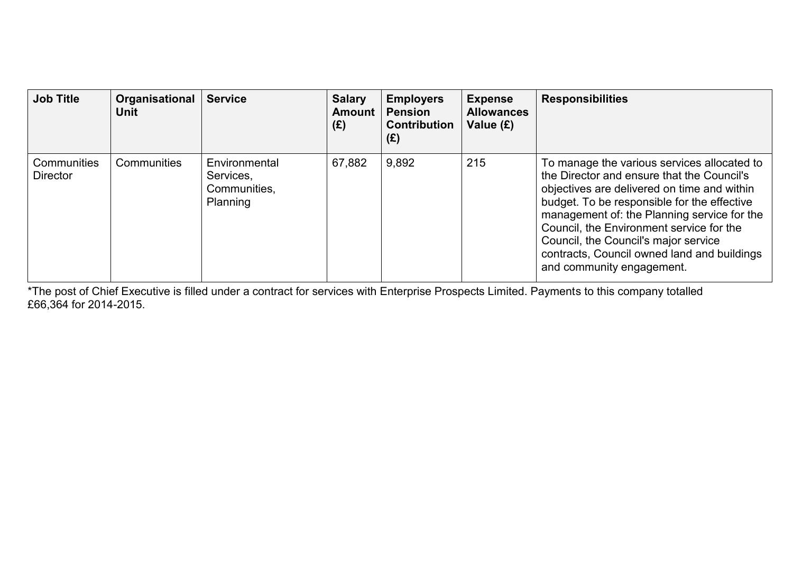| <b>Job Title</b>               | Organisational<br>Unit | <b>Service</b>                                         | <b>Salary</b><br><b>Amount</b><br>(E) | <b>Employers</b><br><b>Pension</b><br><b>Contribution</b><br>(E) | <b>Expense</b><br><b>Allowances</b><br>Value (£) | <b>Responsibilities</b>                                                                                                                                                                                                                                                                                                                                                                                |
|--------------------------------|------------------------|--------------------------------------------------------|---------------------------------------|------------------------------------------------------------------|--------------------------------------------------|--------------------------------------------------------------------------------------------------------------------------------------------------------------------------------------------------------------------------------------------------------------------------------------------------------------------------------------------------------------------------------------------------------|
| Communities<br><b>Director</b> | Communities            | Environmental<br>Services,<br>Communities,<br>Planning | 67,882                                | 9,892                                                            | 215                                              | To manage the various services allocated to<br>the Director and ensure that the Council's<br>objectives are delivered on time and within<br>budget. To be responsible for the effective<br>management of: the Planning service for the<br>Council, the Environment service for the<br>Council, the Council's major service<br>contracts, Council owned land and buildings<br>and community engagement. |

\*The post of Chief Executive is filled under a contract for services with Enterprise Prospects Limited. Payments to this company totalled £66,364 for 2014-2015.